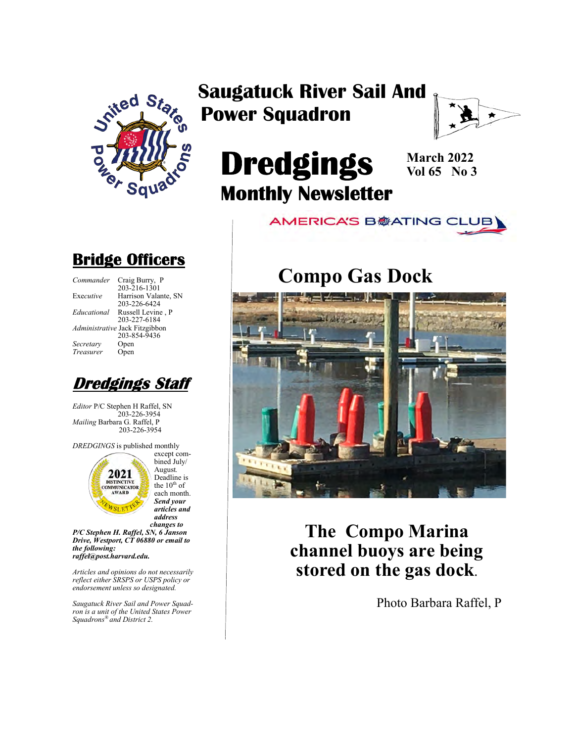

### Saugatuck River Sail And Power Squadron



# Dredgings Monthly Newsletter

March 2022 Vol 65 No 3

**AMERICA'S B参ATING CLUB** 

### Compo Gas Dock



The Compo Marina channel buoys are being stored on the gas dock.

Photo Barbara Raffel, P

### Bridge Officers

Commander Craig Burry, P 203-216-1301 Executive Harrison Valante, SN 203-226-6424 Educational Russell Levine , P 203-227-6184 Administrative Jack Fitzgibbon 203-854-9436<br>Open Secretary Open<br>Treasurer Open Treasurer



Editor P/C Stephen H Raffel, SN 203-226-3954 Mailing Barbara G. Raffel, P 203-226-3954

DREDGINGS is published monthly



bined July/ August. Deadline is the  $10^{th}$  of each month. Send your articles and address changes to

P/C Stephen H. Raffel, SN, 6 Janson Drive, Westport, CT 06880 or email to the following: raffel@post.harvard.edu.

Articles and opinions do not necessarily reflect either SRSPS or USPS policy or endorsement unless so designated.

Saugatuck River Sail and Power Squadron is a unit of the United States Power Squadrons® and District 2.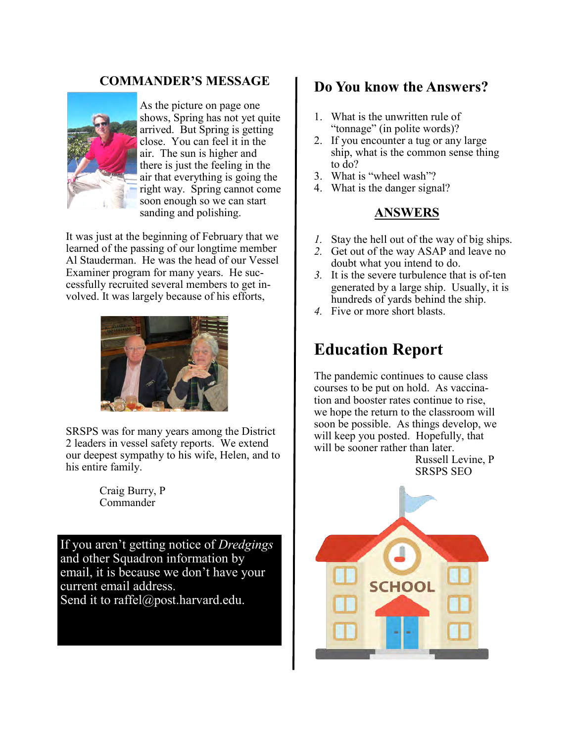#### COMMANDER'S MESSAGE



As the picture on page one shows, Spring has not yet quite arrived. But Spring is getting close. You can feel it in the air. The sun is higher and there is just the feeling in the air that everything is going the right way. Spring cannot come soon enough so we can start sanding and polishing.

It was just at the beginning of February that we learned of the passing of our longtime member Al Stauderman. He was the head of our Vessel Examiner program for many years. He successfully recruited several members to get involved. It was largely because of his efforts,



SRSPS was for many years among the District 2 leaders in vessel safety reports. We extend our deepest sympathy to his wife, Helen, and to his entire family.

> Craig Burry, P Commander

If you aren't getting notice of *Dredgings* and other Squadron information by email, it is because we don't have your current email address. Send it to raffel@post.harvard.edu.

#### Do You know the Answers?

- 1. What is the unwritten rule of "tonnage" (in polite words)?
- 2. If you encounter a tug or any large ship, what is the common sense thing to do?
- 3. What is "wheel wash"?
- 4. What is the danger signal?

#### ANSWERS

- *1.* Stay the hell out of the way of big ships.
- *2.* Get out of the way ASAP and leave no doubt what you intend to do.
- *3.* It is the severe turbulence that is of-ten generated by a large ship. Usually, it is hundreds of yards behind the ship.
- *4.* Five or more short blasts.

### Education Report

The pandemic continues to cause class courses to be put on hold. As vaccination and booster rates continue to rise, we hope the return to the classroom will soon be possible. As things develop, we will keep you posted. Hopefully, that will be sooner rather than later.

Russell Levine, P SRSPS SEO

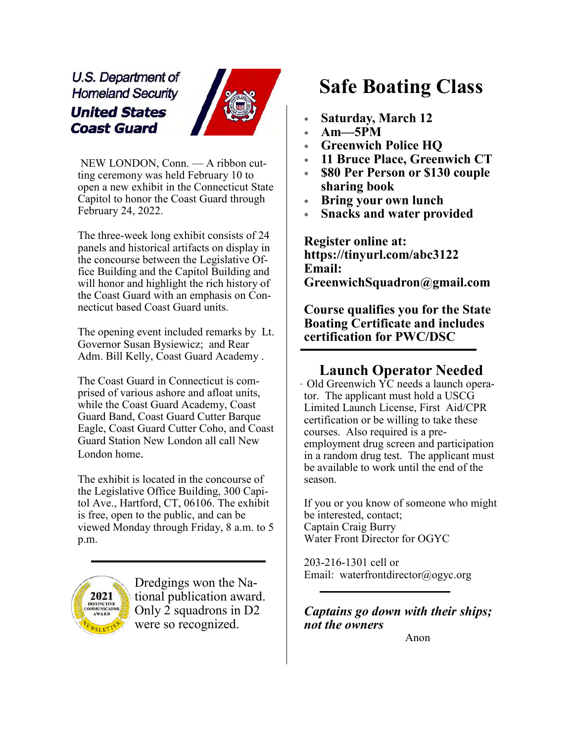U.S. Department of **Homeland Security United States Coast Guard** 



NEW LONDON, Conn. — A ribbon cutting ceremony was held February 10 to open a new exhibit in the Connecticut State Capitol to honor the Coast Guard through February 24, 2022.

The three-week long exhibit consists of 24 panels and historical artifacts on display in the concourse between the Legislative Office Building and the Capitol Building and will honor and highlight the rich history of the Coast Guard with an emphasis on Connecticut based Coast Guard units.

The opening event included remarks by Lt. Governor Susan Bysiewicz; and Rear Adm. Bill Kelly, Coast Guard Academy .

The Coast Guard in Connecticut is comprised of various ashore and afloat units, while the Coast Guard Academy, Coast Guard Band, Coast Guard Cutter Barque Eagle, Coast Guard Cutter Coho, and Coast Guard Station New London all call New London home.

The exhibit is located in the concourse of the Legislative Office Building, 300 Capitol Ave., Hartford, CT, 06106. The exhibit is free, open to the public, and can be viewed Monday through Friday, 8 a.m. to 5 p.m.



Dredgings won the National publication award. Only 2 squadrons in D2 were so recognized.

## Safe Boating Class

- Saturday, March 12
- $Am-5PM$
- **Greenwich Police HO**
- 11 Bruce Place, Greenwich CT
- \$80 Per Person or \$130 couple sharing book
- Bring your own lunch
- **Snacks and water provided**

Register online at: https://tinyurl.com/abc3122 Email: GreenwichSquadron@gmail.com

Course qualifies you for the State Boating Certificate and includes certification for PWC/DSC

#### Launch Operator Needed

Old Greenwich YC needs a launch operator. The applicant must hold a USCG Limited Launch License, First Aid/CPR certification or be willing to take these courses. Also required is a preemployment drug screen and participation in a random drug test. The applicant must be available to work until the end of the season.

If you or you know of someone who might be interested, contact; Captain Craig Burry Water Front Director for OGYC

203-216-1301 cell or Email: waterfrontdirector@ogyc.org

#### Captains go down with their ships; not the owners

Anon